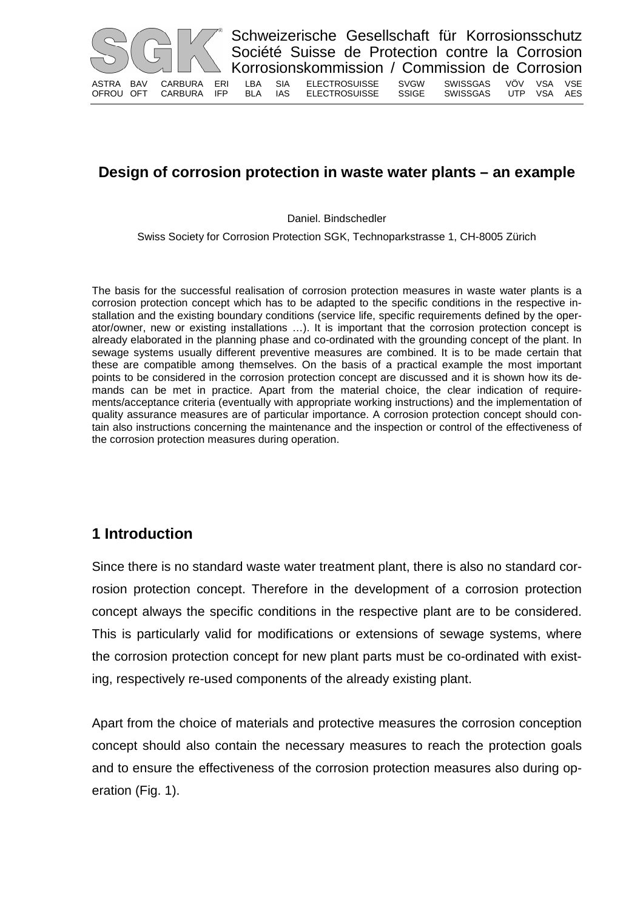

# **Design of corrosion protection in waste water plants – an example**

Daniel. Bindschedler

Swiss Society for Corrosion Protection SGK, Technoparkstrasse 1, CH-8005 Zürich

The basis for the successful realisation of corrosion protection measures in waste water plants is a corrosion protection concept which has to be adapted to the specific conditions in the respective installation and the existing boundary conditions (service life, specific requirements defined by the operator/owner, new or existing installations …). It is important that the corrosion protection concept is already elaborated in the planning phase and co-ordinated with the grounding concept of the plant. In sewage systems usually different preventive measures are combined. It is to be made certain that these are compatible among themselves. On the basis of a practical example the most important points to be considered in the corrosion protection concept are discussed and it is shown how its demands can be met in practice. Apart from the material choice, the clear indication of requirements/acceptance criteria (eventually with appropriate working instructions) and the implementation of quality assurance measures are of particular importance. A corrosion protection concept should contain also instructions concerning the maintenance and the inspection or control of the effectiveness of the corrosion protection measures during operation.

# **1 Introduction**

Since there is no standard waste water treatment plant, there is also no standard corrosion protection concept. Therefore in the development of a corrosion protection concept always the specific conditions in the respective plant are to be considered. This is particularly valid for modifications or extensions of sewage systems, where the corrosion protection concept for new plant parts must be co-ordinated with existing, respectively re-used components of the already existing plant.

Apart from the choice of materials and protective measures the corrosion conception concept should also contain the necessary measures to reach the protection goals and to ensure the effectiveness of the corrosion protection measures also during operation (Fig. 1).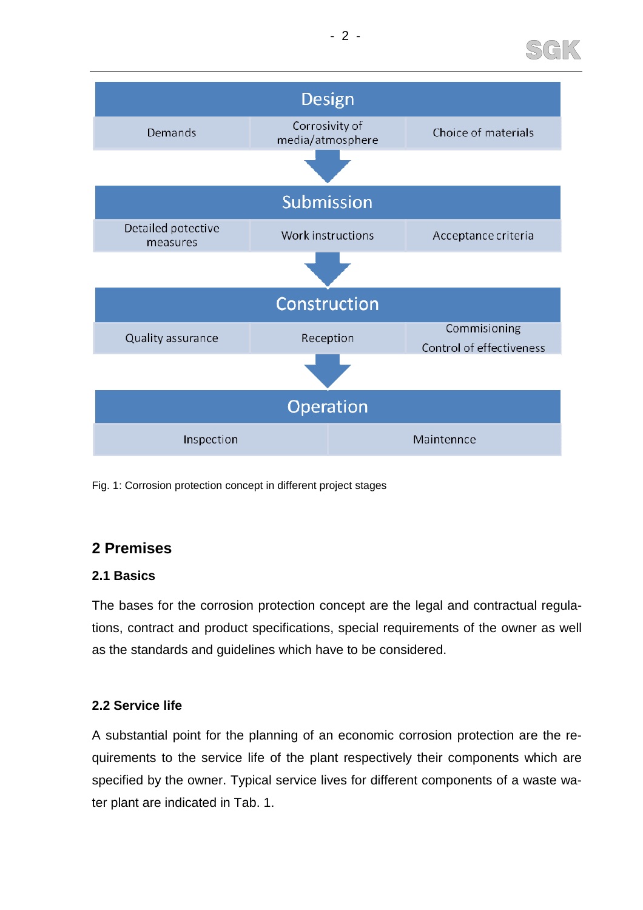



Fig. 1: Corrosion protection concept in different project stages

## **2 Premises**

## **2.1 Basics**

The bases for the corrosion protection concept are the legal and contractual regulations, contract and product specifications, special requirements of the owner as well as the standards and guidelines which have to be considered.

## **2.2 Service life**

A substantial point for the planning of an economic corrosion protection are the requirements to the service life of the plant respectively their components which are specified by the owner. Typical service lives for different components of a waste water plant are indicated in Tab. 1.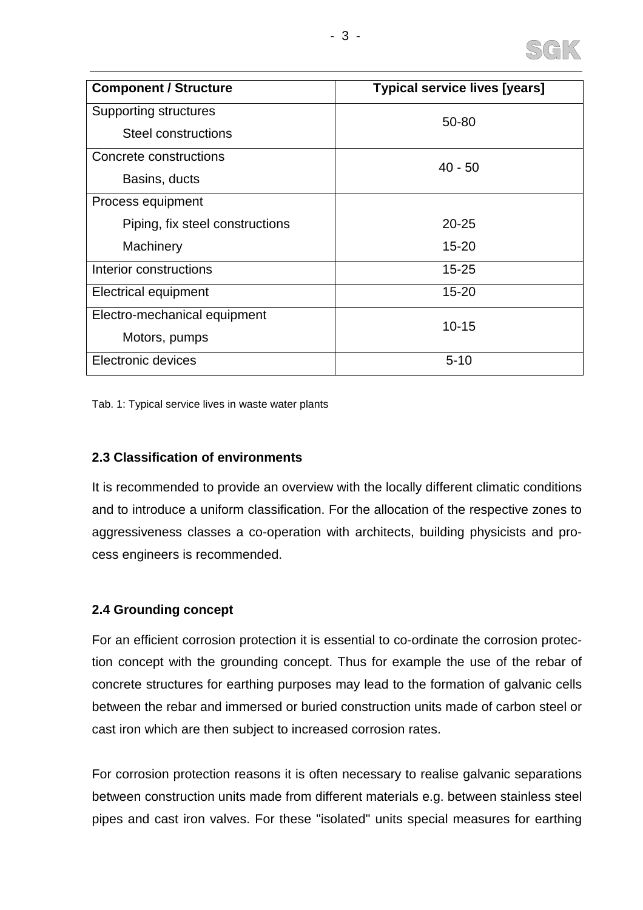

| <b>Component / Structure</b>    | <b>Typical service lives [years]</b> |
|---------------------------------|--------------------------------------|
| <b>Supporting structures</b>    | 50-80                                |
| Steel constructions             |                                      |
| Concrete constructions          | $40 - 50$                            |
| Basins, ducts                   |                                      |
| Process equipment               |                                      |
| Piping, fix steel constructions | $20 - 25$                            |
| Machinery                       | $15 - 20$                            |
| Interior constructions          | $15 - 25$                            |
| <b>Electrical equipment</b>     | $15 - 20$                            |
| Electro-mechanical equipment    | $10 - 15$                            |
| Motors, pumps                   |                                      |
| Electronic devices              | $5 - 10$                             |

Tab. 1: Typical service lives in waste water plants

#### **2.3 Classification of environments**

It is recommended to provide an overview with the locally different climatic conditions and to introduce a uniform classification. For the allocation of the respective zones to aggressiveness classes a co-operation with architects, building physicists and process engineers is recommended.

#### **2.4 Grounding concept**

For an efficient corrosion protection it is essential to co-ordinate the corrosion protection concept with the grounding concept. Thus for example the use of the rebar of concrete structures for earthing purposes may lead to the formation of galvanic cells between the rebar and immersed or buried construction units made of carbon steel or cast iron which are then subject to increased corrosion rates.

For corrosion protection reasons it is often necessary to realise galvanic separations between construction units made from different materials e.g. between stainless steel pipes and cast iron valves. For these "isolated" units special measures for earthing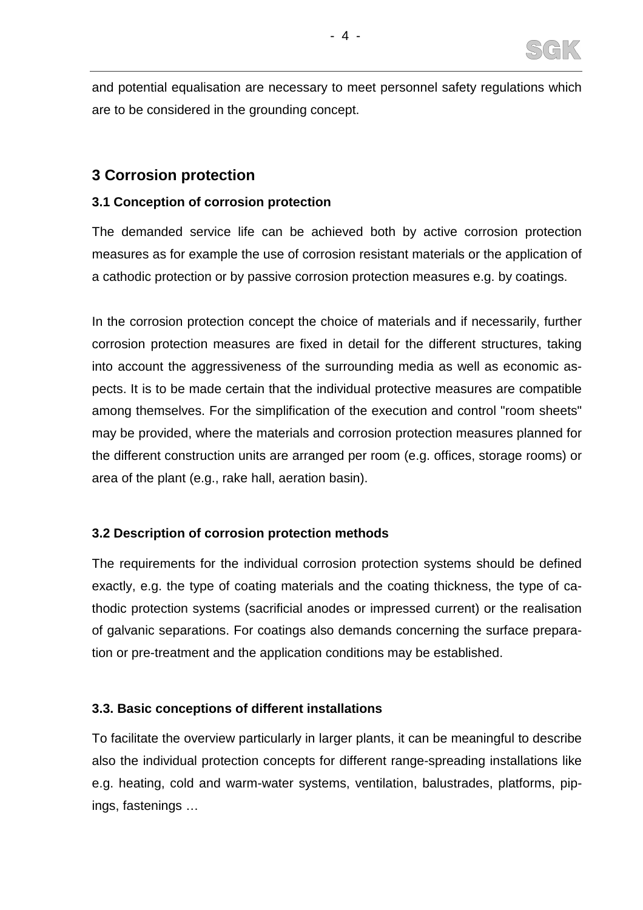

and potential equalisation are necessary to meet personnel safety regulations which are to be considered in the grounding concept.

## **3 Corrosion protection**

#### **3.1 Conception of corrosion protection**

The demanded service life can be achieved both by active corrosion protection measures as for example the use of corrosion resistant materials or the application of a cathodic protection or by passive corrosion protection measures e.g. by coatings.

In the corrosion protection concept the choice of materials and if necessarily, further corrosion protection measures are fixed in detail for the different structures, taking into account the aggressiveness of the surrounding media as well as economic aspects. It is to be made certain that the individual protective measures are compatible among themselves. For the simplification of the execution and control "room sheets" may be provided, where the materials and corrosion protection measures planned for the different construction units are arranged per room (e.g. offices, storage rooms) or area of the plant (e.g., rake hall, aeration basin).

## **3.2 Description of corrosion protection methods**

The requirements for the individual corrosion protection systems should be defined exactly, e.g. the type of coating materials and the coating thickness, the type of cathodic protection systems (sacrificial anodes or impressed current) or the realisation of galvanic separations. For coatings also demands concerning the surface preparation or pre-treatment and the application conditions may be established.

#### **3.3. Basic conceptions of different installations**

To facilitate the overview particularly in larger plants, it can be meaningful to describe also the individual protection concepts for different range-spreading installations like e.g. heating, cold and warm-water systems, ventilation, balustrades, platforms, pipings, fastenings …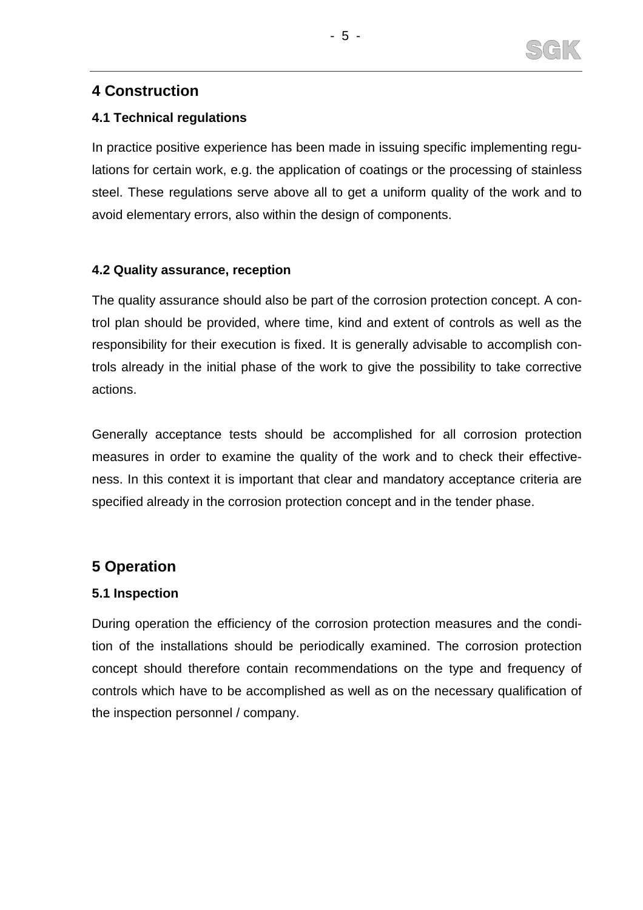

## **4 Construction**

### **4.1 Technical regulations**

In practice positive experience has been made in issuing specific implementing regulations for certain work, e.g. the application of coatings or the processing of stainless steel. These regulations serve above all to get a uniform quality of the work and to avoid elementary errors, also within the design of components.

#### **4.2 Quality assurance, reception**

The quality assurance should also be part of the corrosion protection concept. A control plan should be provided, where time, kind and extent of controls as well as the responsibility for their execution is fixed. It is generally advisable to accomplish controls already in the initial phase of the work to give the possibility to take corrective actions.

Generally acceptance tests should be accomplished for all corrosion protection measures in order to examine the quality of the work and to check their effectiveness. In this context it is important that clear and mandatory acceptance criteria are specified already in the corrosion protection concept and in the tender phase.

# **5 Operation**

## **5.1 Inspection**

During operation the efficiency of the corrosion protection measures and the condition of the installations should be periodically examined. The corrosion protection concept should therefore contain recommendations on the type and frequency of controls which have to be accomplished as well as on the necessary qualification of the inspection personnel / company.